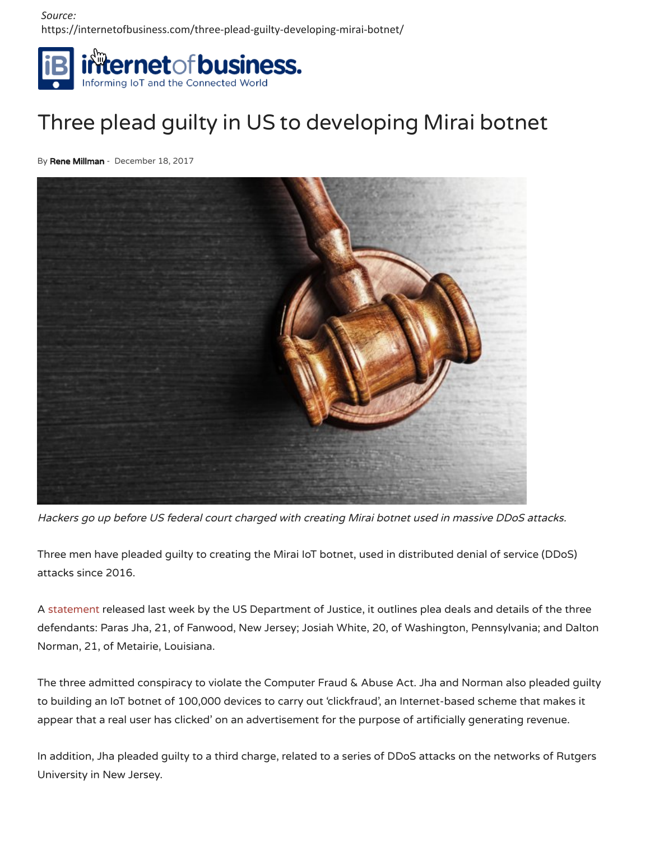*Source:* https://internetofbusiness.com/three-plead-guilty-developing-mirai-botnet/



## Three plead guilty in US to developing Mirai botnet

By Rene Millman - December 18, 2017



Hackers go up before US federal court charged with creating Mirai botnet used in massive DDoS attacks.

Three men have pleaded guilty to creating the Mirai IoT botnet, used in distributed denial of service (DDoS) attacks since 2016.

A statement released last week by the US Department of Justice, it outlines plea deals and details of the three defendants: Paras Jha, 21, of Fanwood, New Jersey; Josiah White, 20, of Washington, Pennsylvania; and Dalton Norman, 21, of Metairie, Louisiana.

The three admitted conspiracy to violate the Computer Fraud & Abuse Act. Jha and Norman also pleaded guilty to building an IoT botnet of 100,000 devices to carry out 'clickfraud', an Internet-based scheme that makes it appear that a real user has clicked' on an advertisement for the purpose of artificially generating revenue.

In addition, Jha pleaded guilty to a third charge, related to a series of DDoS attacks on the networks of Rutgers University in New Jersey.